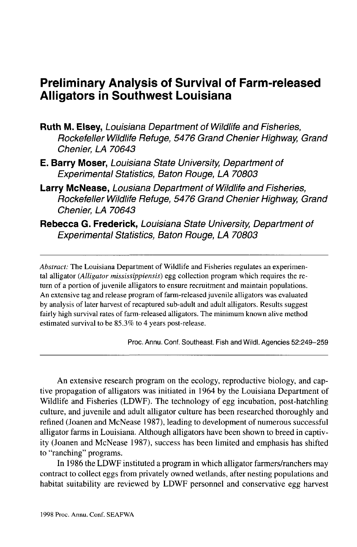# **Preliminary Analysis of Survival of Farm-released Alligators in Southwest Louisiana**

- **Ruth M. Elsey,** Louisiana Department of Wildlife and Fisheries, Rockefeller Wildlife Refuge, 5476 Grand Chenier Highway, Grand Chenier, LA 70643
- **E. Barry Moser,** Louisiana State University, Department of Experimental Statistics, Baton Rouge, LA 70803
- **Larry McNease,** Lousiana Department of Wildlife and Fisheries, Rockefeller Wildlife Refuge, 5476 Grand Chenier Highway, Grand Chenier, LA 70643
- **Rebecca G. Frederick,** Louisiana State University, Department of Experimental Statistics, Baton Rouge, LA 70803

*Abstract:* The Louisiana Department of Wildlife and Fisheries regulates an experimental alligator *(Alligator mississippiensis)* egg collection program which requires the return of a portion of juvenile alligators to ensure recruitment and maintain populations. An extensive tag and release program of farm-released juvenile alligators was evaluated by analysis of later harvest of recaptured sub-adult and adult alligators. Results suggest fairly high survival rates of farm-released alligators. The minimum known alive method estimated survival to be 85.3% to 4 years post-release.

Proc. Annu. Conf. Southeast. Fish and Wildl. Agencies 52:249-259

An extensive research program on the ecology, reproductive biology, and captive propagation of alligators was initiated in 1964 by the Louisiana Department of Wildlife and Fisheries (LDWF). The technology of egg incubation, post-hatchling culture, and juvenile and adult alligator culture has been researched thoroughly and refined (Joanen and McNease 1987), leading to development of numerous successful alligator farms in Louisiana. Although alligators have been shown to breed in captivity (Joanen and McNease 1987), success has been limited and emphasis has shifted to "ranching" programs.

In 1986 the LDWF instituted a program in which alligator farmers/ranchers may contract to collect eggs from privately owned wetlands, after nesting populations and habitat suitability are reviewed by LDWF personnel and conservative egg harvest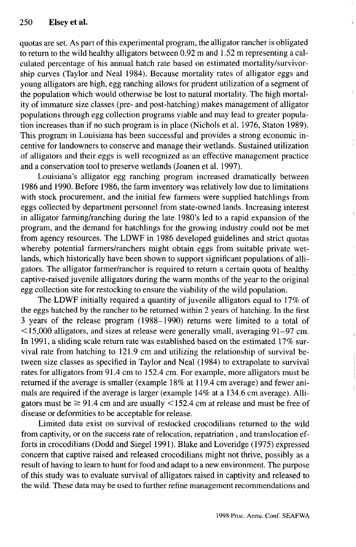quotas are set. As part of this experimental program, the alligator rancher is obligated to return to the wild healthy alligators between 0.92 m and 1.52 m representing a calculated percentage of his annual hatch rate based on estimated mortality/survivorship curves (Taylor and Neal 1984). Because mortality rates of alligator eggs and young alligators are high, egg ranching allows for prudent utilization of a segment of the population which would otherwise be lost to natural mortality. The high mortality of immature size classes (pre- and post-hatching) makes management of alligator populations through egg collection programs viable and may lead to greater population increases than if no such program is in place (Nichols et al. 1976, Staton 1989). This program in Louisiana has been successful and provides a strong economic incentive for landowners to conserve and manage their wetlands. Sustained utilization of alligators and their eggs is well recognized as an effective management practice and a conservation tool to preserve wetlands (Joanen et al. 1997).

Louisiana's alligator egg ranching program increased dramatically between 1986 and 1990. Before 1986, the farm inventory was relatively low due to limitations with stock procurement, and the initial few farmers were supplied hatchlings from eggs collected by department personnel from state-owned lands. Increasing interest in alligator farming/ranching during the late 1980's led to a rapid expansion of the program, and the demand for hatchlings for the growing industry could not be met from agency resources. The LDWF in 1986 developed guidelines and strict quotas whereby potential farmers/ranchers might obtain eggs from suitable private wetlands, which historically have been shown to support significant populations of alligators. The alligator farmer/rancher is required to return a certain quota of healthy captive-raised juvenile alligators during the warm months of the year to the original egg collection site for restocking to ensure the viability of the wild population.

The LDWF initially required a quantity of juvenile alligators equal to 17% of the eggs hatched by the rancher to be returned within 2 years of hatching. In the first 3 years of the release program (1988-1990) returns were limited to a total of < 15,000 alligators, and sizes at release were generally small, averaging 91-97 cm. In 1991, a sliding scale return rate was established based on the estimated 17% survival rate from hatching to 121.9 cm and utilizing the relationship of survival between size classes as specified in Taylor and Neal (1984) to extrapolate to survival rates for alligators from 91.4 cm to 152.4 cm. For example, more alligators must be returned if the average is smaller (example 18% at 119.4 cm average) and fewer animals are required if the average is larger (example 14% at a 134.6 cm average). Alligators must be  $\geq 91.4$  cm and are usually  $\leq 152.4$  cm at release and must be free of disease or deformities to be acceptable for release.

Limited data exist on survival of restocked crocodilians returned to the wild from captivity, or on the success rate of relocation, repatriation , and translocation efforts in crocodilians (Dodd and Siegel 1991). Blake and Loveridge (1975) expressed concern that captive raised and released crocodilians might not thrive, possibly as a result of having to learn to hunt for food and adapt to a new environment. The purpose of this study was to evaluate survival of alligators raised in captivity and released to the wild. These data may be used to further refine management recommendations and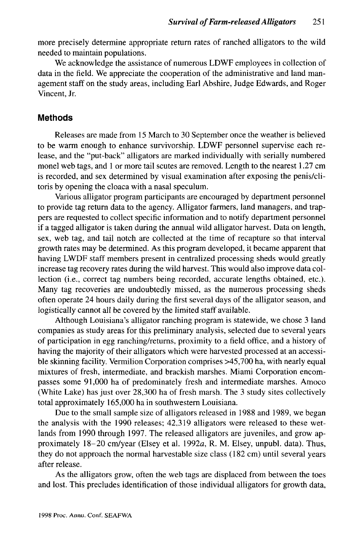more precisely determine appropriate return rates of ranched alligators to the wild needed to maintain populations.

We acknowledge the assistance of numerous LDWF employees in collection of data in the field. We appreciate the cooperation of the administrative and land management staff on the study areas, including Earl Abshire, Judge Edwards, and Roger Vincent, Jr.

### **Methods**

Releases are made from 15 March to 30 September once the weather is believed to be warm enough to enhance survivorship. LDWF personnel supervise each release, and the "put-back" alligators are marked individually with serially numbered monel web tags, and 1 or more tail scutes are removed. Length to the nearest 1.27 cm is recorded, and sex determined by visual examination after exposing the penis/clitoris by opening the cloaca with a nasal speculum.

Various alligator program participants are encouraged by department personnel to provide tag return data to the agency. Alligator farmers, land managers, and trappers are requested to collect specific information and to notify department personnel if a tagged alligator is taken during the annual wild alligator harvest. Data on length, sex, web tag, and tail notch are collected at the time of recapture so that interval growth rates may be determined. As this program developed, it became apparent that having LWDF staff members present in centralized processing sheds would greatly increase tag recovery rates during the wild harvest. This would also improve data collection (i.e., correct tag numbers being recorded, accurate lengths obtained, etc.). Many tag recoveries are undoubtedly missed, as the numerous processing sheds often operate 24 hours daily during the first several days of the alligator season, and logistically cannot all be covered by the limited staff available.

Although Louisiana's alligator ranching program is statewide, we chose 3 land companies as study areas for this preliminary analysis, selected due to several years of participation in egg ranching/returns, proximity to a field office, and a history of having the majority of their alligators which were harvested processed at an accessible skinning facility. Vermilion Corporation comprises >45,700 ha, with nearly equal mixtures of fresh, intermediate, and brackish marshes. Miami Corporation encompasses some 91,000 ha of predominately fresh and intermediate marshes. Amoco (White Lake) has just over 28,300 ha of fresh marsh. The 3 study sites collectively total approximately 165,000 ha in southwestern Louisiana.

Due to the small sample size of alligators released in 1988 and 1989, we began the analysis with the 1990 releases; 42,319 alligators were released to these wetlands from 1990 through 1997. The released alligators are juveniles, and grow approximately 18-20 cm/year (Elsey et al. 1992a, R. M. Elsey, unpubl. data). Thus, they do not approach the normal harvestable size class (182 cm) until several years after release.

As the alligators grow, often the web tags are displaced from between the toes and lost. This precludes identification of those individual alligators for growth data,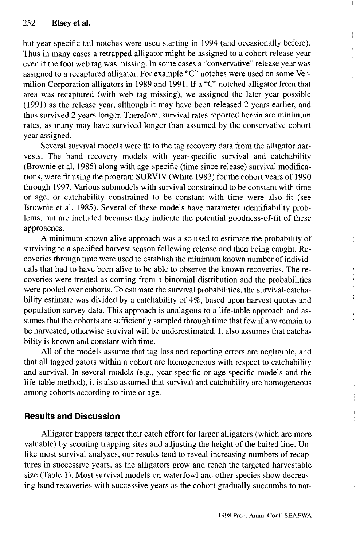but year-specific tail notches were used starting in 1994 (and occasionally before). Thus in many cases a retrapped alligator might be assigned to a cohort release year even if the foot web tag was missing. In some cases a "conservative" release year was assigned to a recaptured alligator. For example "C" notches were used on some Vermilion Corporation alligators in 1989 and 1991. If a "C notched alligator from that area was recaptured (with web tag missing), we assigned the later year possible (1991) as the release year, although it may have been released 2 years earlier, and thus survived 2 years longer. Therefore, survival rates reported herein are minimum rates, as many may have survived longer than assumed by the conservative cohort year assigned.

Several survival models were fit to the tag recovery data from the alligator harvests. The band recovery models with year-specific survival and catchability (Brownie et al. 1985) along with age-specific (time since release) survival modifications, were fit using the program SURVIV (White 1983) for the cohort years of 1990 through 1997. Various submodels with survival constrained to be constant with time or age, or catchability constrained to be constant with time were also fit (see Brownie et al. 1985). Several of these models have parameter identifiability problems, but are included because they indicate the potential goodness-of-fit of these approaches.

A minimum known alive approach was also used to estimate the probability of surviving to a specified harvest season following release and then being caught. Recoveries through time were used to establish the minimum known number of individuals that had to have been alive to be able to observe the known recoveries. The recoveries were treated as coming from a binomial distribution and the probabilities were pooled over cohorts. To estimate the survival probabilities, the survival-catchability estimate was divided by a catchability of 4%, based upon harvest quotas and population survey data. This approach is analagous to a life-table approach and assumes that the cohorts are sufficiently sampled through time that few if any remain to be harvested, otherwise survival will be underestimated. It also assumes that catchability is known and constant with time.

All of the models assume that tag loss and reporting errors are negligible, and that all tagged gators within a cohort are homogeneous with respect to catchability and survival. In several models (e.g., year-specific or age-specific models and the life-table method), it is also assumed that survival and catchability are homogeneous among cohorts according to time or age.

## **Results and Discussion**

Alligator trappers target their catch effort for larger alligators (which are more valuable) by scouting trapping sites and adjusting the height of the baited line. Unlike most survival analyses, our results tend to reveal increasing numbers of recaptures in successive years, as the alligators grow and reach the targeted harvestable size (Table 1). Most survival models on waterfowl and other species show decreasing band recoveries with successive years as the cohort gradually succumbs to natł

 $\mathbf{r}$ 

 $\overline{1}$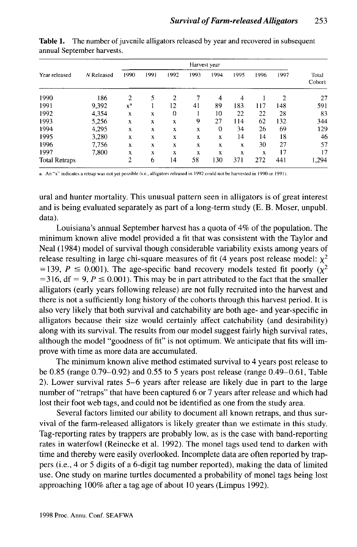| Year released        | N Released | Harvest year   |      |          |      |          |      |      |      |                 |
|----------------------|------------|----------------|------|----------|------|----------|------|------|------|-----------------|
|                      |            | 1990           | 1991 | 1992     | 1993 | 1994     | 1995 | 1996 | 1997 | Total<br>Cohort |
| 1990                 | 186        | $\overline{2}$ | 5    | 2        |      | 4        | 4    |      | 2    | 27              |
| 1991                 | 9,392      | $x^a$          |      | 12       | 41   | 89       | 183  | 117  | 148  | 591             |
| 1992                 | 4.354      | X              | x    | $\Omega$ |      | 10       | 22   | 22   | 28   | 83              |
| 1993                 | 5,256      | X              | X    | X        | 9    | 27       | 114  | 62   | 132  | 344             |
| 1994                 | 4,295      | x              | X    | x        | X    | $\Omega$ | 34   | 26   | 69   | 129             |
| 1995                 | 3.280      | X              | X    | x        | X    | X        | 14   | 14   | 18   | 46              |
| 1996                 | 7,756      | x              | X    | x        | x    | X        | X    | 30   | 27   | 57              |
| 1997                 | 7,800      | x              | X    | X        | X    | x        | X    | X    | 17   | 17              |
| <b>Total Retraps</b> |            | $\overline{2}$ | 6    | 14       | 58   | 130      | 371  | 272  | 441  | 1.294           |

Table 1. The number of juvenile alligators released by year and recovered in subsequent annual September harvests.

a. An "x" indicates a retrap was not yet possible (i.e., alligators released in 1992 could not be harvested in I990or 1991).

ural and hunter mortality. This unusual pattern seen in alligators is of great interest and is being evaluated separately as part of a long-term study (E. B. Moser, unpubl. data).

Louisiana's annual September harvest has a quota of 4% of the population. The minimum known alive model provided a fit that was consistent with the Taylor and Neal (1984) model of survival though considerable variability exists among years of release resulting in large chi-square measures of fit (4 years post release model:  $\chi^2$ = 139,  $P \le 0.001$ ). The age-specific band recovery models tested fit poorly ( $\chi^2$ ) = 316, df = 9,  $P \le 0.001$ ). This may be in part attributed to the fact that the smaller alligators (early years following release) are not fully recruited into the harvest and there is not a sufficiently long history of the cohorts through this harvest period. It is also very likely that both survival and catchability are both age- and year-specific in alligators because their size would certainly affect catchability (and desirability) along with its survival. The results from our model suggest fairly high survival rates, although the model "goodness of fit" is not optimum. We anticipate that fits will improve with time as more data are accumulated.

The minimum known alive method estimated survival to 4 years post release to be 0.85 (range 0.79-0.92) and 0.55 to 5 years post release (range 0.49-0.61, Table 2). Lower survival rates 5-6 years after release are likely due in part to the large number of "retraps" that have been captured 6 or 7 years after release and which had lost their foot web tags, and could not be identified as one from the study area.

Several factors limited our ability to document all known retraps, and thus survival of the farm-released alligators is likely greater than we estimate in this study. Tag-reporting rates by trappers are probably low, as is the case with band-reporting rates in waterfowl (Reinecke et al. 1992). The monel tags used tend to darken with time and thereby were easily overlooked. Incomplete data are often reported by trappers (i.e., 4 or 5 digits of a 6-digit tag number reported), making the data of limited use. One study on marine turtles documented a probability of monel tags being lost approaching 100% after a tag age of about 10 years (Limpus 1992).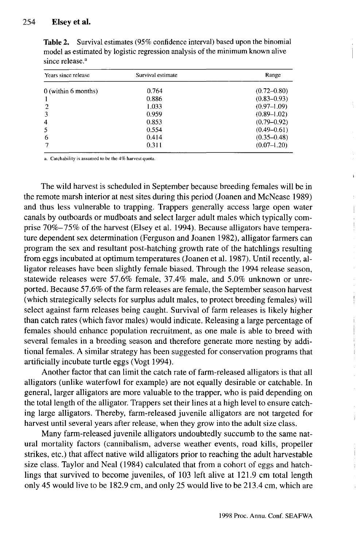#### 254 Elsey et al.

| Years since release | Survival estimate | Range           |  |  |
|---------------------|-------------------|-----------------|--|--|
| 0 (within 6 months) | 0.764             | $(0.72 - 0.80)$ |  |  |
|                     | 0.886             | $(0.83 - 0.93)$ |  |  |
| $\overline{2}$      | 1.033             | $(0.97-1.09)$   |  |  |
| 3                   | 0.959             | $(0.89 - 1.02)$ |  |  |
| 4                   | 0853              | $(0.79 - 0.92)$ |  |  |
| 5                   | 0.554             | $(0.49 - 0.61)$ |  |  |
| 6                   | 0.414             | $(0.35 - 0.48)$ |  |  |
|                     | 0.311             | $(0.07-1.20)$   |  |  |

Table 2. Survival estimates (95% confidence interval) based upon the binomial model as estimated by logistic regression analysis of the minimum known alive since release.<sup>a</sup>

a. Catchability is assumed to be the 4% harvest quota.

The wild harvest is scheduled in September because breeding females will be in the remote marsh interior at nest sites during this period (Joanen and McNease 1989) and thus less vulnerable to trapping. Trappers generally access large open water canals by outboards or mudboats and select larger adult males which typically comprise 70%-75% of the harvest (Elsey et al. 1994). Because alligators have temperature dependent sex determination (Ferguson and Joanen 1982), alligator farmers can program the sex and resultant post-hatching growth rate of the hatchlings resulting from eggs incubated at optimum temperatures (Joanen et al. 1987). Until recently, alligator releases have been slightly female biased. Through the 1994 release season, statewide releases were 57.6% female, 37.4% male, and 5.0% unknown or unreported. Because 57.6% of the farm releases are female, the September season harvest (which strategically selects for surplus adult males, to protect breeding females) will select against farm releases being caught. Survival of farm releases is likely higher than catch rates (which favor males) would indicate. Releasing a large percentage of females should enhance population recruitment, as one male is able to breed with several females in a breeding season and therefore generate more nesting by additional females. A similar strategy has been suggested for conservation programs that artificially incubate turtle eggs (Vogt 1994).

Another factor that can limit the catch rate of farm-released alligators is that all alligators (unlike waterfowl for example) are not equally desirable or catchable. In general, larger alligators are more valuable to the trapper, who is paid depending on the total length of the alligator. Trappers set their lines at a high level to ensure catching large alligators. Thereby, farm-released juvenile alligators are not targeted for harvest until several years after release, when they grow into the adult size class.

Many farm-released juvenile alligators undoubtedly succumb to the same natural mortality factors (cannibalism, adverse weather events, road kills, propeller strikes, etc.) that affect native wild alligators prior to reaching the adult harvestable size class. Taylor and Neal (1984) calculated that from a cohort of eggs and hatchlings that survived to become juveniles, of 103 left alive at 121.9 cm total length only 45 would live to be 182.9 cm, and only 25 would live to be 213.4 cm, which are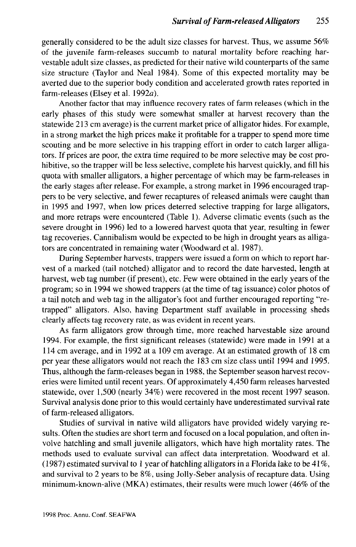generally considered to be the adult size classes for harvest. Thus, we assume 56% of the juvenile farm-releases succumb to natural mortality before reaching harvestable adult size classes, as predicted for their native wild counterparts of the same size structure (Taylor and Neal 1984). Some of this expected mortality may be averted due to the superior body condition and accelerated growth rates reported in farm-releases (Elsey et al. 1992a).

Another factor that may influence recovery rates of farm releases (which in the early phases of this study were somewhat smaller at harvest recovery than the statewide 213 cm average) is the current market price of alligator hides. For example, in a strong market the high prices make it profitable for a trapper to spend more time scouting and be more selective in his trapping effort in order to catch larger alligators. If prices are poor, the extra time required to be more selective may be cost prohibitive, so the trapper will be less selective, complete his harvest quickly, and fill his quota with smaller alligators, a higher percentage of which may be farm-releases in the early stages after release. For example, a strong market in 1996 encouraged trappers to be very selective, and fewer recaptures of released animals were caught than in 1995 and 1997, when low prices deterred selective trapping for large alligators, and more retraps were encountered (Table 1). Adverse climatic events (such as the severe drought in 1996) led to a lowered harvest quota that year, resulting in fewer tag recoveries. Cannibalism would be expected to be high in drought years as alligators are concentrated in remaining water (Woodward et al. 1987).

During September harvests, trappers were issued a form on which to report harvest of a marked (tail notched) alligator and to record the date harvested, length at harvest, web tag number (if present), etc. Few were obtained in the early years of the program; so in 1994 we showed trappers (at the time of tag issuance) color photos of a tail notch and web tag in the alligator's foot and further encouraged reporting "retrapped" alligators. Also, having Department staff available in processing sheds clearly affects tag recovery rate, as was evident in recent years.

As farm alligators grow through time, more reached harvestable size around 1994. For example, the first significant releases (statewide) were made in 1991 at a 114 cm average, and in 1992 at a 109 cm average. At an estimated growth of 18 cm per year these alligators would not reach the 183 cm size class until 1994 and 1995. Thus, although the farm-releases began in 1988, the September season harvest recoveries were limited until recent years. Of approximately 4,450 farm releases harvested statewide, over 1,500 (nearly 34%) were recovered in the most recent 1997 season. Survival analysis done prior to this would certainly have underestimated survival rate of farm-released alligators.

Studies of survival in native wild alligators have provided widely varying results. Often the studies are short term and focused on a local population, and often involve hatchling and small juvenile alligators, which have high mortality rates. The methods used to evaluate survival can affect data interpretation. Woodward et al. (1987) estimated survival to 1 year of hatchling alligators in a Florida lake to be 41%, and survival to 2 years to be 8%, using Jolly-Seber analysis of recapture data. Using minimum-known-alive (MKA) estimates, their results were much lower (46% of the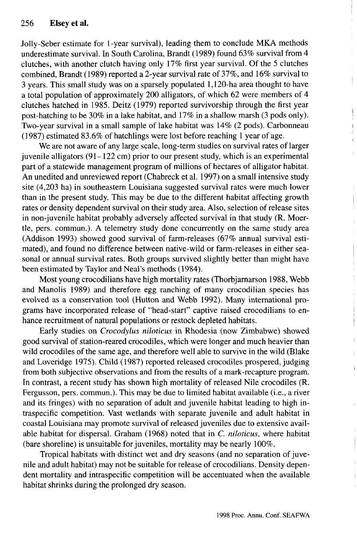Jolly-Seber estimate for 1-year survival), leading them to conclude MKA methods underestimate survival. In South Carolina, Brandt (1989) found 63% survival from 4 clutches, with another clutch having only 17% first year survival. Of the 5 clutches combined, Brandt (1989) reported a 2-year survival rate of 37%, and 16% survival to 3 years. This small study was on a sparsely populated 1,120-ha area thought to have a total population of approximately 200 alligators, of which 62 were members of 4 clutches hatched in 1985. Deitz (1979) reported survivorship through the first year post-hatching to be 30% in a lake habitat, and 17% in a shallow marsh (3 pods only). Two-year survival in a small sample of lake habitat was 14% (2 pods). Carbonneau (1987) estimated 83.6% of hatchlings were lost before reaching 1 year of age.

We are not aware of any large scale, long-term studies on survival rates of larger juvenile alligators (91-122 cm) prior to our present study, which is an experimental part of a statewide management program of millions of hectares of alligator habitat. An unedited and unreviewed report (Chabreck et al. 1997) on a small intensive study site (4,203 ha) in southeastern Louisiana suggested survival rates were much lower than in the present study. This may be due to the different habitat affecting growth rates or density dependent survival on their study area. Also, selection of release sites in non-juvenile habitat probably adversely affected survival in that study (R. Moertle, pers. commun.). A telemetry study done concurrently on the same study area (Addison 1993) showed good survival of farm-releases (67% annual survival estimated), and found no difference between native-wild or farm-releases in either seasonal or annual survival rates. Both groups survived slightly better than might have been estimated by Taylor and Neal's methods (1984).

Most young crocodilians have high mortality rates (Thorbjarnarson 1988, Webb and Manolis 1989) and therefore egg ranching of many crocodilian species has evolved as a conservation tool (Hutton and Webb 1992). Many international programs have incorporated release of "head-start" captive raised crocodilians to enhance recruitment of natural populations or restock depleted habitats.

Early studies on *Crocodylus niloticus* in Rhodesia (now Zimbabwe) showed good survival of station-reared crocodiles, which were longer and much heavier than wild crocodiles of the same age, and therefore well able to survive in the wild (Blake and Loveridge 1975). Child (1987) reported released crocodiles prospered, judging from both subjective observations and from the results of a mark-recapture program. In contrast, a recent study has shown high mortality of released Nile crocodiles (R. Fergusson, pers. commun.). This may be due to limited habitat available (i.e., a river and its fringes) with no separation of adult and juvenile habitat leading to high intraspecific competition. Vast wetlands with separate juvenile and adult habitat in coastal Louisiana may promote survival of released juveniles due to extensive available habitat for dispersal. Graham (1968) noted that in *C. niloticus,* where habitat (bare shoreline) is unsuitable for juveniles, mortality may be nearly 100%.

Tropical habitats with distinct wet and dry seasons (and no separation of juvenile and adult habitat) may not be suitable for release of crocodilians. Density dependent mortality and intraspecific competition will be accentuated when the available habitat shrinks during the prolonged dry season.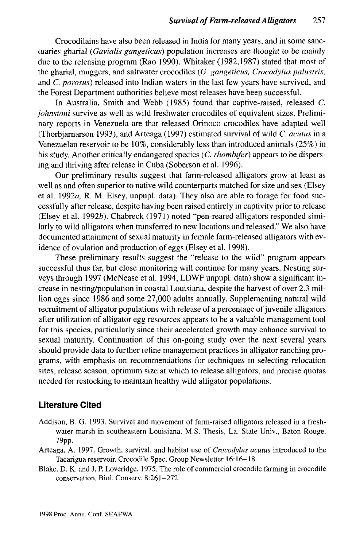Crocodilains have also been released in India for many years, and in some sanctuaries gharial *(Gavialis gangeticus)* population increases are thought to be mainly due to the releasing program (Rao 1990). Whitaker (1982,1987) stated that most of the gharial, muggers, and saltwater crocodiles *(G. gangeticus, Crocodylus palustris,* and *C. porosus)* released into Indian waters in the last few years have survived, and the Forest Department authorities believe most releases have been successful.

In Australia, Smith and Webb (1985) found that captive-raised, released *C. johnstoni* survive as well as wild freshwater crocodiles of equivalent sizes. Preliminary reports in Venezuela are that released Orinoco crocodiles have adapted well (Thorbjarnarson 1993), and Arteaga (1997) estimated survival of wild *C. acutus* in a Venezuelan reservoir to be 10%, considerably less than introduced animals (25%) in his study. Another critically endangered species *(C. rhombifer)* appears to be dispersing and thriving after release in Cuba (Soberson et al. 1996).

Our preliminary results suggest that farm-released alligators grow at least as well as and often superior to native wild counterparts matched for size and sex (Elsey et al. 1992a, R. M. Elsey, unpupl. data). They also are able to forage for food successfully after release, despite having been raised entirely in captivity prior to release (Elsey et al. *\992b).* Chabreck (1971) noted "pen-reared alligators responded similarly to wild alligators when transferred to new locations and released." We also have documented attainment of sexual maturity in female farm-released alligators with evidence of ovulation and production of eggs (Elsey et al. 1998).

These preliminary results suggest the "release to the wild" program appears successful thus far, but close monitoring will continue for many years. Nesting surveys through 1997 (McNease et al. 1994, LDWF unpupl. data) show a significant increase in nesting/population in coastal Louisiana, despite the harvest of over 2.3 million eggs since 1986 and some 27,000 adults annually. Supplementing natural wild recruitment of alligator populations with release of a percentage of juvenile alligators after utilization of alligator egg resources appears to be a valuable management tool for this species, particularly since their accelerated growth may enhance survival to sexual maturity. Continuation of this on-going study over the next several years should provide data to further refine management practices in alligator ranching programs, with emphasis on recommendations for techniques in selecting relocation sites, release season, optimum size at which to release alligators, and precise quotas needed for restocking to maintain healthy wild alligator populations.

## **Literature Cited**

- Addison, B. G. 1993. Survival and movement of farm-raised alligators released in a freshwater marsh in southeastern Louisiana. M.S. Thesis, La. State Univ., Baton Rouge. 79pp.
- Arteaga, A. 1997. Growth, survival, and habitat use of *Crocodylus acutus* introduced to the Tacarigua reservoir. Crocodile Spec. Group Newsletter 16:16-18.
- Blake, D. K. and J. P. Loveridge. 1975. The role of commercial crocodile farming in crocodile conservation. Biol. Conserv. 8:261-272.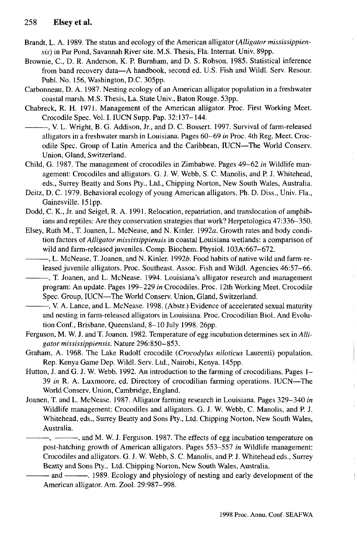- Brandt, L. A. 1989. The status and ecology of the American alligator *(Alligator mississippiensis)* in Par Pond, Savannah River site. M.S. Thesis, Fla. Internat. Univ. 89pp.
- Brownie, C, D. R. Anderson, K. P. Burnham, and D. S. Robson. 1985. Statistical inference from band recovery data—A handbook, second ed. U.S. Fish and Wildl. Serv. Resour. Publ. No. 156, Washington, D.C. 305pp.
- Carbonneau, D. A. 1987. Nesting ecology of an American alligator population in a freshwater coastal marsh. M.S. Thesis, La. State Univ., Baton Rouge. 53pp.
- Chabreck, R. H. 1971. Management of the American alligator. Proc. First Working Meet. Crocodile Spec. Vol. I. IUCN Supp. Pap. 32:137-144.
- , V. L. Wright, B. G. Addison, Jr., and D. C. Bossert. 1997. Survival of farm-released alligators in a freshwater marsh in Louisiana. Pages 60-69 *in* Proc. 4th Reg. Meet. Crocodile Spec. Group of Latin America and the Caribbean, IUCN—The World Conserv. Union, Gland, Switzerland.
- Child, G. 1987. The management of crocodiles in Zimbabwe. Pages 49-62 *in* Wildlife management: Crocodiles and alligators. G. J. W. Webb, S. C. Manolis, and P. J. Whitehead, eds., Surrey Beatty and Sons Pty., Ltd., Chipping Norton, New South Wales, Australia.
- Deitz, D. C. 1979. Behavioral ecology of young American alligators. Ph. D. Diss., Univ. Fla., Gainesville. 151pp.
- Dodd, C. K., Jr. and Seigel, R. A. 1991. Relocation, repatriation, and translocation of amphibians and reptiles: Are they conservation strategies that work? Herpetologica 47:336-350.
- Elsey, Ruth M., T. Joanen, L. McNease, and N. Kinler. 1992a. Growth rates and body condition factors of *Alligator mississippiensis* in coastal Louisiana wetlands: a comparison of wild and farm-released juveniles. Comp. Biochem. Physiol. 103A:667-672.
- -, L. McNease, T. Joanen, and N. Kinler. 1992b. Food habits of native wild and farm-released juvenile alligators. Proc. Southeast. Assoc. Fish and Wildl. Agencies 46:57-66.
- $-$ , T. Joanen, and L. McNease. 1994. Louisiana's alligator research and management program: An update. Pages 199-229 *in* Crocodiles. Proc. 12th Working Meet. Crocodile Spec. Group, IUCN—The World Conserv. Union, Gland, Switzerland.
- , V. A. Lance, and L. McNease. 1998. (Abstr.) Evidence of accelerated sexual maturity and nesting in farm-released alligators in Louisiana. Proc. Crocodilian Biol. And Evolution Conf., Brisbane, Queensland, 8-10 July 1998. 26pp.
- Ferguson, M. W. J. and T. Joanen. 1982. Temperature of egg incubation determines sex in *Alligator mississippiensis.* Nature 296:850-853.
- Graham, A. 1968. The Lake Rudolf crocodile *(Crocodylus niloticus* Laurenti) population. Rep. Kenya Game Dep. Wildl. Serv. Ltd., Nairobi, Kenya. 145pp.
- Hutton, J. and G. J. W. Webb. 1992. An introduction to the farming of crocodilians. Pages 1- 39 *in* R. A. Luxmoore, ed. Directory of crocodilian farming operations. IUCN—The World Conserv. Union, Cambridge, England.
- Joanen, T. and L. McNease. 1987. Alligator farming research in Louisiana. Pages 329-340 *in* Wildlife management: Crocodiles and alligators. G. J. W. Webb, C. Manolis, and P. J. Whitehead, eds., Surrey Beatty and Sons Pty., Ltd. Chipping Norton, New South Wales, Australia.
	- $-$ , and M. W. J. Ferguson. 1987. The effects of egg incubation temperature on post-hatching growth of American alligators. Pages 553-557 *in* Wildlife management: Crocodiles and alligators. G. J. W. Webb, S. C. Manolis, and P. J. Whitehead eds., Surrey Beatty and Sons Pty., Ltd. Chipping Norton, New South Wales, Australia.

and . 1989. Ecology and physiology of nesting and early development of the American alligator. Am. Zool. 29:987-998.